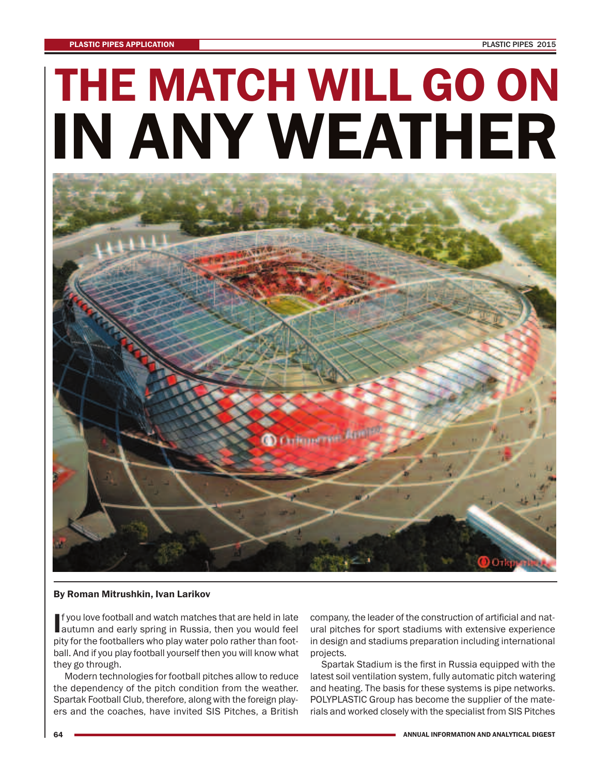## **THE MATCH WILL GO ON IN ANY WEATHER**



## **By Roman Mitrushkin, Ivan Larikov**

**I** f you love football and watch matches that are held in late f you love football and watch matches that are held in late pity for the footballers who play water polo rather than football. And if you play football yourself then you will know what they go through.

Modern technologies for football pitches allow to reduce the dependency of the pitch condition from the weather. Spartak Football Club, therefore, along with the foreign players and the coaches, have invited SIS Pitches, a British

company, the leader of the construction of artificial and natural pitches for sport stadiums with extensive experience in design and stadiums preparation including international projects.

Spartak Stadium is the first in Russia equipped with the latest soil ventilation system, fully automatic pitch watering and heating. The basis for these systems is pipe networks. POLYPLASTIC Group has become the supplier of the materials and worked closely with the specialist from SIS Pitches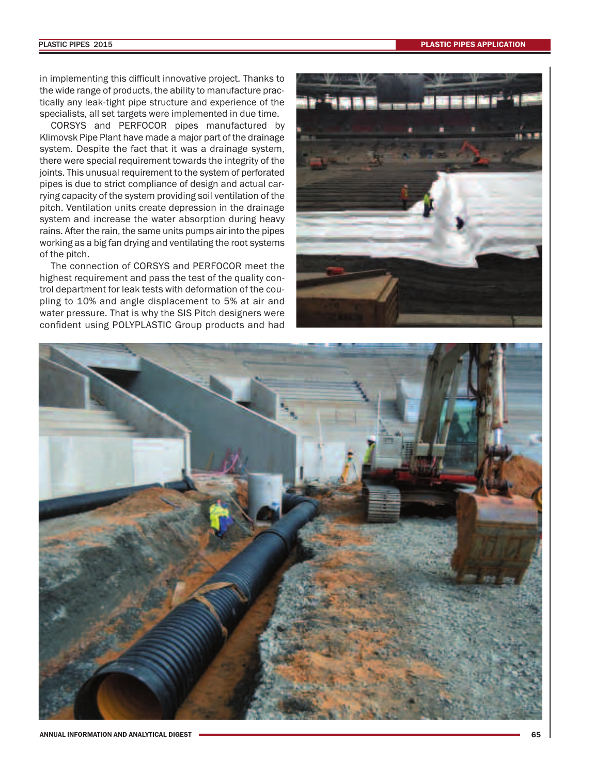in implementing this difficult innovative project. Thanks to the wide range of products, the ability to manufacture practically any leak-tight pipe structure and experience of the specialists, all set targets were implemented in due time.

CORSYS and PERFOCOR pipes manufactured by Klimovsk Pipe Plant have made a major part of the drainage system. Despite the fact that it was a drainage system, there were special requirement towards the integrity of the joints. This unusual requirement to the system of perforated pipes is due to strict compliance of design and actual carrying capacity of the system providing soil ventilation of the pitch. Ventilation units create depression in the drainage system and increase the water absorption during heavy rains. After the rain, the same units pumps air into the pipes working as a big fan drying and ventilating the root systems of the pitch.

The connection of CORSYS and PERFOCOR meet the highest requirement and pass the test of the quality control department for leak tests with deformation of the coupling to 10% and angle displacement to 5% at air and water pressure. That is why the SIS Pitch designers were confident using POLYPLASTIC Group products and had